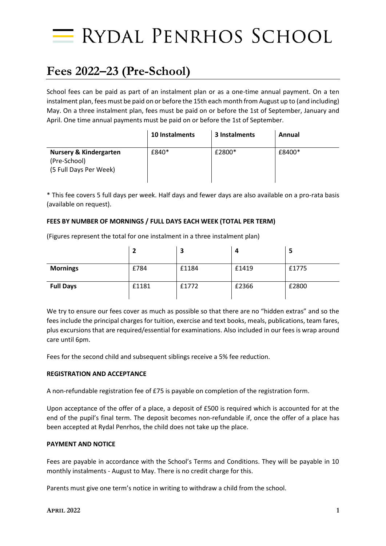

## **Fees 2022–23 (Pre-School)**

School fees can be paid as part of an instalment plan or as a one-time annual payment. On a ten instalment plan, fees must be paid on or before the 15th each month from August up to (and including) May. On a three instalment plan, fees must be paid on or before the 1st of September, January and April. One time annual payments must be paid on or before the 1st of September.

|                                                                             | <b>10 Instalments</b> | 3 Instalments | Annual |
|-----------------------------------------------------------------------------|-----------------------|---------------|--------|
| <b>Nursery &amp; Kindergarten</b><br>(Pre-School)<br>(5 Full Days Per Week) | £840*                 | £2800*        | £8400* |

\* This fee covers 5 full days per week. Half days and fewer days are also available on a pro-rata basis (available on request).

#### **FEES BY NUMBER OF MORNINGS / FULL DAYS EACH WEEK (TOTAL PER TERM)**

(Figures represent the total for one instalment in a three instalment plan) **2 3 4 5**

|                  | ∠     | P.    | 4     | э     |
|------------------|-------|-------|-------|-------|
| <b>Mornings</b>  | £784  | £1184 | £1419 | £1775 |
| <b>Full Days</b> | £1181 | £1772 | £2366 | £2800 |

We try to ensure our fees cover as much as possible so that there are no "hidden extras" and so the fees include the principal charges for tuition, exercise and text books, meals, publications, team fares, plus excursions that are required/essential for examinations. Also included in our fees is wrap around care until 6pm.

Fees for the second child and subsequent siblings receive a 5% fee reduction.

#### **REGISTRATION AND ACCEPTANCE**

A non-refundable registration fee of £75 is payable on completion of the registration form.

Upon acceptance of the offer of a place, a deposit of £500 is required which is accounted for at the end of the pupil's final term. The deposit becomes non-refundable if, once the offer of a place has been accepted at Rydal Penrhos, the child does not take up the place.

#### **PAYMENT AND NOTICE**

Fees are payable in accordance with the School's Terms and Conditions. They will be payable in 10 monthly instalments - August to May. There is no credit charge for this.

Parents must give one term's notice in writing to withdraw a child from the school.